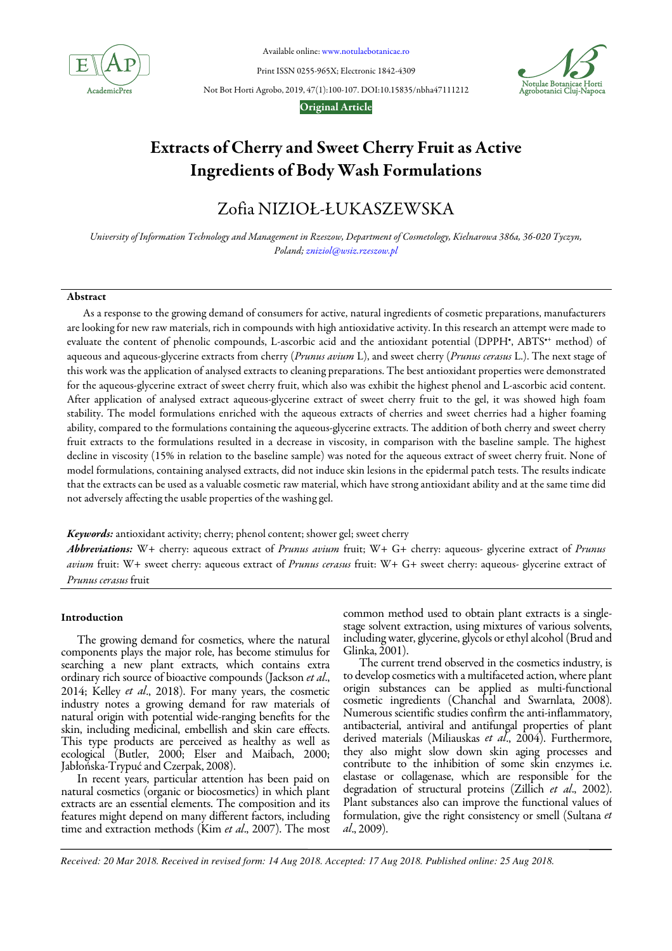

Available online: www.notulaebotanicae.ro

Print ISSN 0255-965X; Electronic 1842-4309



Not Bot Horti Agrobo, 2019, 47(1):100-107. DOI:10.15835/nbha47111212

### Original Article

# Extracts of Cherry and Sweet Cherry Fruit as Active Ingredients of Body Wash Formulations

# Zofia NIZIOŁ-ŁUKASZEWSKA

*University of Information Technology and Management in Rzeszow, Department of Cosmetology, Kielnarowa 386a, 36-020 Tyczyn, Poland; zniziol@wsiz.rzeszow.pl*

# Abstract

As a response to the growing demand of consumers for active, natural ingredients of cosmetic preparations, manufacturers are looking for new raw materials, rich in compounds with high antioxidative activity. In this research an attempt were made to evaluate the content of phenolic compounds, L-ascorbic acid and the antioxidant potential (DPPH<sup>+</sup>, ABTS<sup>++</sup> method) of aqueous and aqueous-glycerine extracts from cherry (*Prunus avium* L), and sweet cherry (*Prunus cerasus* L.). The next stage of this work was the application of analysed extracts to cleaning preparations. The best antioxidant properties were demonstrated for the aqueous-glycerine extract of sweet cherry fruit, which also was exhibit the highest phenol and L-ascorbic acid content. After application of analysed extract aqueous-glycerine extract of sweet cherry fruit to the gel, it was showed high foam stability. The model formulations enriched with the aqueous extracts of cherries and sweet cherries had a higher foaming ability, compared to the formulations containing the aqueous-glycerine extracts. The addition of both cherry and sweet cherry fruit extracts to the formulations resulted in a decrease in viscosity, in comparison with the baseline sample. The highest decline in viscosity (15% in relation to the baseline sample) was noted for the aqueous extract of sweet cherry fruit. None of model formulations, containing analysed extracts, did not induce skin lesions in the epidermal patch tests. The results indicate that the extracts can be used as a valuable cosmetic raw material, which have strong antioxidant ability and at the same time did not adversely affecting the usable properties of the washing gel.

Keywords: antioxidant activity; cherry; phenol content; shower gel; sweet cherry

Abbreviations: W+ cherry: aqueous extract of *Prunus avium* fruit; W+ G+ cherry: aqueous- glycerine extract of *Prunus avium* fruit: W+ sweet cherry: aqueous extract of *Prunus cerasus* fruit: W+ G+ sweet cherry: aqueous- glycerine extract of *Prunus cerasus* fruit

### Introduction

The growing demand for cosmetics, where the natural components plays the major role, has become stimulus for searching a new plant extracts, which contains extra ordinary rich source of bioactive compounds (Jackson *et al*., 2014; Kelley *et al*., 2018). For many years, the cosmetic industry notes a growing demand for raw materials of natural origin with potential wide-ranging benefits for the skin, including medicinal, embellish and skin care effects. This type products are perceived as healthy as well as ecological (Butler, 2000; Elser and Maibach, 2000; Jabłońska-Trypuć and Czerpak, 2008).

In recent years, particular attention has been paid on natural cosmetics (organic or biocosmetics) in which plant extracts are an essential elements. The composition and its features might depend on many different factors, including time and extraction methods (Kim *et al*., 2007). The most common method used to obtain plant extracts is a singlestage solvent extraction, using mixtures of various solvents, including water, glycerine, glycols or ethyl alcohol (Brud and Glinka, 2001).

The current trend observed in the cosmetics industry, is to develop cosmetics with a multifaceted action, where plant origin substances can be applied as multi-functional cosmetic ingredients (Chanchal and Swarnlata, 2008). Numerous scientific studies confirm the anti-inflammatory, antibacterial, antiviral and antifungal properties of plant derived materials (Miliauskas *et al*., 2004). Furthermore, they also might slow down skin aging processes and contribute to the inhibition of some skin enzymes i.e. elastase or collagenase, which are responsible for the degradation of structural proteins (Zillich *et al*., 2002). Plant substances also can improve the functional values of formulation, give the right consistency or smell (Sultana *et al*., 2009).

*Received: 20 Mar 2018. Received in revised form: 14 Aug 2018. Accepted: 17 Aug 2018. Published online: 25 Aug 2018.*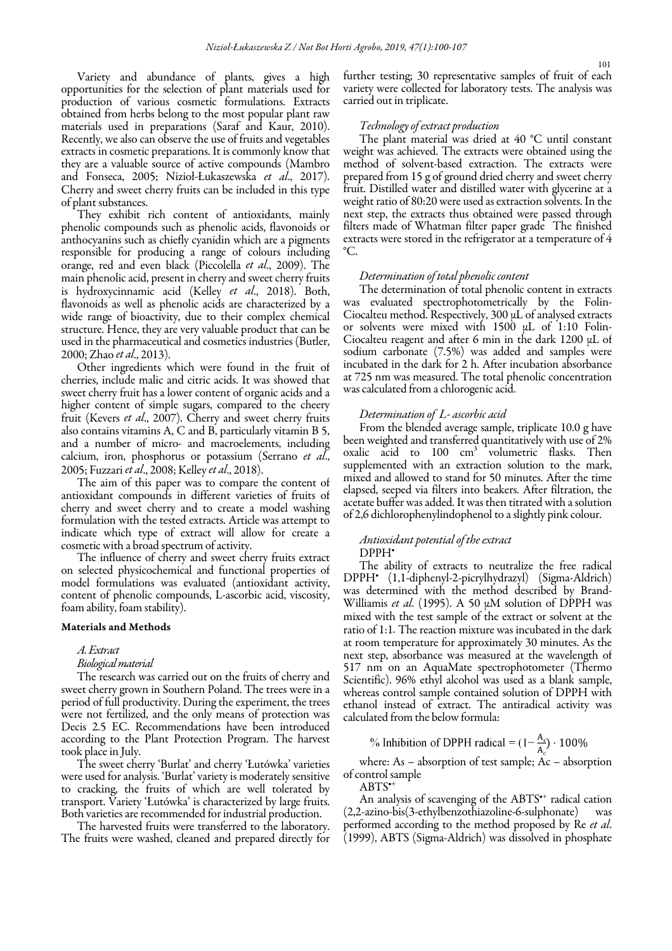Variety and abundance of plants, gives a high opportunities for the selection of plant materials used for production of various cosmetic formulations. Extracts obtained from herbs belong to the most popular plant raw materials used in preparations (Saraf and Kaur, 2010). Recently, we also can observe the use of fruits and vegetables extracts in cosmetic preparations. It is commonly know that they are a valuable source of active compounds (Mambro and Fonseca, 2005; Nizioł-Łukaszewska *et al*., 2017). Cherry and sweet cherry fruits can be included in this type of plant substances.

They exhibit rich content of antioxidants, mainly phenolic compounds such as phenolic acids, flavonoids or anthocyanins such as chiefly cyanidin which are a pigments responsible for producing a range of colours including orange, red and even black (Piccolella *et al*., 2009). The main phenolic acid, present in cherry and sweet cherry fruits is hydroxycinnamic acid (Kelley *et al*., 2018). Both, flavonoids as well as phenolic acids are characterized by a wide range of bioactivity, due to their complex chemical structure. Hence, they are very valuable product that can be used in the pharmaceutical and cosmetics industries (Butler, 2000; Zhao *et al*., 2013).

Other ingredients which were found in the fruit of cherries, include malic and citric acids. It was showed that sweet cherry fruit has a lower content of organic acids and a higher content of simple sugars, compared to the cheery fruit (Kevers *et al*., 2007). Cherry and sweet cherry fruits also contains vitamins A, C and B, particularly vitamin B 5, and a number of micro- and macroelements, including calcium, iron, phosphorus or potassium (Serrano *et al*., 2005; Fuzzari *et al*., 2008; Kelley *et al*., 2018).

The aim of this paper was to compare the content of antioxidant compounds in different varieties of fruits of cherry and sweet cherry and to create a model washing formulation with the tested extracts. Article was attempt to indicate which type of extract will allow for create a cosmetic with a broad spectrum of activity.

The influence of cherry and sweet cherry fruits extract on selected physicochemical and functional properties of model formulations was evaluated (antioxidant activity, content of phenolic compounds, L-ascorbic acid, viscosity, foam ability, foam stability).

### Materials and Methods

### *A. Extract*

### *Biological material*

The research was carried out on the fruits of cherry and sweet cherry grown in Southern Poland. The trees were in a period of full productivity. During the experiment, the trees were not fertilized, and the only means of protection was Decis 2.5 EC. Recommendations have been introduced according to the Plant Protection Program. The harvest took place in July.

The sweet cherry 'Burlat' and cherry 'Łutówka' varieties were used for analysis. 'Burlat' variety is moderately sensitive to cracking, the fruits of which are well tolerated by transport. Variety 'Łutówka' is characterized by large fruits. Both varieties are recommended for industrial production.

The harvested fruits were transferred to the laboratory. The fruits were washed, cleaned and prepared directly for further testing; 30 representative samples of fruit of each variety were collected for laboratory tests. The analysis was carried out in triplicate.

### *Technology of extract production*

The plant material was dried at 40 °C until constant weight was achieved. The extracts were obtained using the method of solvent-based extraction. The extracts were prepared from 15 g of ground dried cherry and sweet cherry fruit. Distilled water and distilled water with glycerine at a weight ratio of 80:20 were used as extraction solvents. In the next step, the extracts thus obtained were passed through filters made of Whatman filter paper grade The finished extracts were stored in the refrigerator at a temperature of 4 °C.

## *Determination of total phenolic content*

The determination of total phenolic content in extracts was evaluated spectrophotometrically by the Folin-Ciocalteu method. Respectively, 300 µL of analysed extracts or solvents were mixed with  $1500 \mu L$  of 1:10 Folin-Ciocalteu reagent and after 6 min in the dark 1200 µL of sodium carbonate (7.5%) was added and samples were incubated in the dark for 2 h. After incubation absorbance at 725 nm was measured. The total phenolic concentration was calculated from a chlorogenic acid.

### *Determination of L- ascorbic acid*

From the blended average sample, triplicate 10.0 g have been weighted and transferred quantitatively with use of 2% oxalic acid to 100 cm<sup>3</sup> volumetric flasks. Then supplemented with an extraction solution to the mark, mixed and allowed to stand for 50 minutes. After the time elapsed, seeped via filters into beakers. After filtration, the acetate buffer was added. It was then titrated with a solution of 2,6 dichlorophenylindophenol to a slightly pink colour.

# *Antioxidant potential of the extract*

### DPPH•

The ability of extracts to neutralize the free radical DPPH• (1,1-diphenyl-2-picrylhydrazyl) (Sigma-Aldrich) was determined with the method described by Brand-Williamis *et al*. (1995). A 50 µM solution of DPPH was mixed with the test sample of the extract or solvent at the ratio of 1:1*.* The reaction mixture was incubated in the dark at room temperature for approximately 30 minutes. As the next step, absorbance was measured at the wavelength of 517 nm on an AquaMate spectrophotometer (Thermo Scientific). 96% ethyl alcohol was used as a blank sample, whereas control sample contained solution of DPPH with ethanol instead of extract. The antiradical activity was calculated from the below formula:

% Inhibition of DPPH radical =  $(1 - \frac{A_s}{A_s}) \cdot 100\%$ 

where: As – absorption of test sample; Ac – absorption of control sample

ABTS<sup>•</sup>

An analysis of scavenging of the ABTS<sup>\*+</sup> radical cation (2,2-azino-bis(3-ethylbenzothiazoline-6-sulphonate) was performed according to the method proposed by Re *et al*. (1999), ABTS (Sigma-Aldrich) was dissolved in phosphate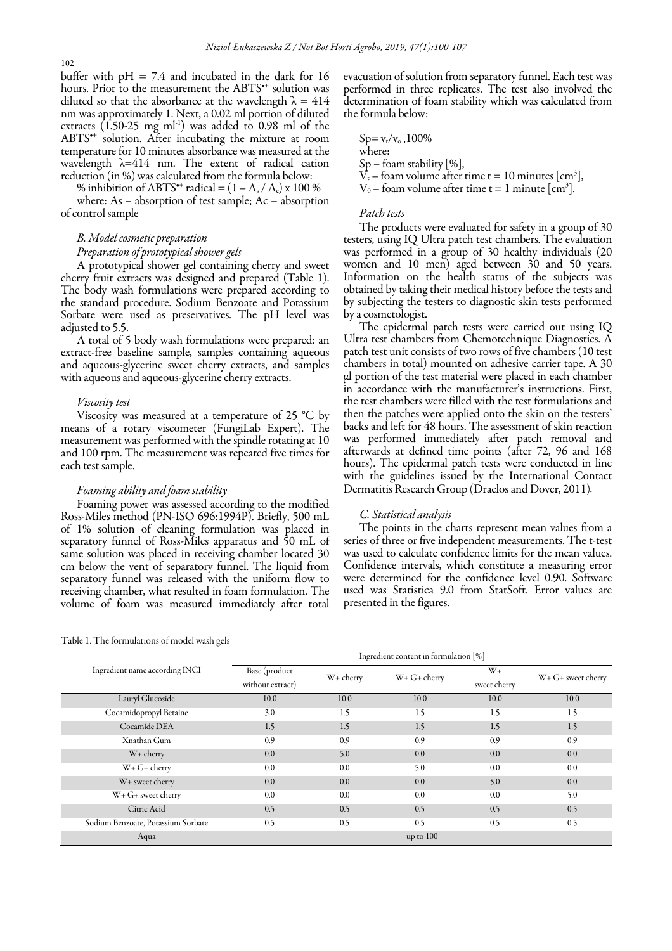buffer with  $pH = 7.4$  and incubated in the dark for 16 hours. Prior to the measurement the ABTS<sup>\*+</sup> solution was diluted so that the absorbance at the wavelength  $\lambda = 414$ nm was approximately 1. Next, a 0.02 ml portion of diluted extracts  $(1.50-25 \text{ mg ml}^{-1})$  was added to 0.98 ml of the ABTS•+ solution. After incubating the mixture at room temperature for 10 minutes absorbance was measured at the wavelength λ=414 nm. The extent of radical cation reduction (in %) was calculated from the formula below:

% inhibition of ABTS<sup>\*\*</sup> radical =  $(1 - A_s / A_c)$  x 100 %

where: As – absorption of test sample; Ac – absorption of control sample

# *B. Model cosmetic preparation*

# *Preparation of prototypical shower gels*

A prototypical shower gel containing cherry and sweet cherry fruit extracts was designed and prepared (Table 1). The body wash formulations were prepared according to the standard procedure. Sodium Benzoate and Potassium Sorbate were used as preservatives. The pH level was adjusted to 5.5.

A total of 5 body wash formulations were prepared: an extract-free baseline sample, samples containing aqueous and aqueous-glycerine sweet cherry extracts, and samples with aqueous and aqueous-glycerine cherry extracts.

### *Viscosity test*

Viscosity was measured at a temperature of 25 °C by means of a rotary viscometer (FungiLab Expert). The measurement was performed with the spindle rotating at 10 and 100 rpm. The measurement was repeated five times for each test sample.

### *Foaming ability and foam stability*

Foaming power was assessed according to the modified Ross-Miles method (PN-ISO 696:1994P). Briefly, 500 mL of 1% solution of cleaning formulation was placed in separatory funnel of Ross-Miles apparatus and 50 mL of same solution was placed in receiving chamber located 30 cm below the vent of separatory funnel. The liquid from separatory funnel was released with the uniform flow to receiving chamber, what resulted in foam formulation. The volume of foam was measured immediately after total

Table 1. The formulations of model wash gels

evacuation of solution from separatory funnel. Each test was performed in three replicates. The test also involved the determination of foam stability which was calculated from the formula below:

 $Sp = v_t/v_0$ , 100% where: Sp – foam stability [%],  $\dot{V_t}$  – foam volume after time t = 10 minutes [cm<sup>3</sup>],  $V_0$  – foam volume after time t = 1 minute  $\text{[cm}^3\text{]}$ .

### *Patch tests*

The products were evaluated for safety in a group of 30 testers, using IQ Ultra patch test chambers. The evaluation was performed in a group of 30 healthy individuals (20 women and 10 men) aged between 30 and 50 years. Information on the health status of the subjects was obtained by taking their medical history before the tests and by subjecting the testers to diagnostic skin tests performed by a cosmetologist.

The epidermal patch tests were carried out using IQ Ultra test chambers from Chemotechnique Diagnostics. A patch test unit consists of two rows of five chambers (10 test chambers in total) mounted on adhesive carrier tape. A 30 μl portion of the test material were placed in each chamber in accordance with the manufacturer's instructions. First, the test chambers were filled with the test formulations and then the patches were applied onto the skin on the testers' backs and left for 48 hours. The assessment of skin reaction was performed immediately after patch removal and afterwards at defined time points (after 72, 96 and 168 hours). The epidermal patch tests were conducted in line with the guidelines issued by the International Contact Dermatitis Research Group (Draelos and Dover, 2011)*.*

### *C. Statistical analysis*

The points in the charts represent mean values from a series of three or five independent measurements. The t-test was used to calculate confidence limits for the mean values. Confidence intervals, which constitute a measuring error were determined for the confidence level 0.90. Software used was Statistica 9.0 from StatSoft. Error values are presented in the figures.

|                                    | Ingredient content in formulation [%] |             |                  |                         |                    |
|------------------------------------|---------------------------------------|-------------|------------------|-------------------------|--------------------|
| Ingredient name according INCI     | Base (product<br>without extract)     | $W+$ cherry | $W + G +$ cherry | $W_{+}$<br>sweet cherry | W+ G+ sweet cherry |
| Lauryl Glucoside                   | 10.0                                  | 10.0        | 10.0             | 10.0                    | 10.0               |
| Cocamidopropyl Betaine             | 3.0                                   | 1.5         | 1.5              | 1.5                     | 1.5                |
| Cocamide DEA                       | 1.5                                   | 1.5         | 1.5              | 1.5                     | 1.5                |
| Xnathan Gum                        | 0.9                                   | 0.9         | 0.9              | 0.9                     | 0.9                |
| $W +$ cherry                       | 0.0                                   | 5.0         | 0.0              | 0.0                     | 0.0                |
| $W + G +$ cherry                   | 0.0                                   | 0.0         | 5.0              | 0.0                     | 0.0                |
| W+ sweet cherry                    | 0.0                                   | 0.0         | 0.0              | 5.0                     | 0.0                |
| $W + G +$ sweet cherry             | 0.0                                   | 0.0         | 0.0              | 0.0                     | 5.0                |
| Citric Acid                        | 0.5                                   | 0.5         | 0.5              | 0.5                     | 0.5                |
| Sodium Benzoate, Potassium Sorbate | 0.5                                   | 0.5         | 0.5              | 0.5                     | 0.5                |
| Aqua                               |                                       |             | up to $100$      |                         |                    |

### 102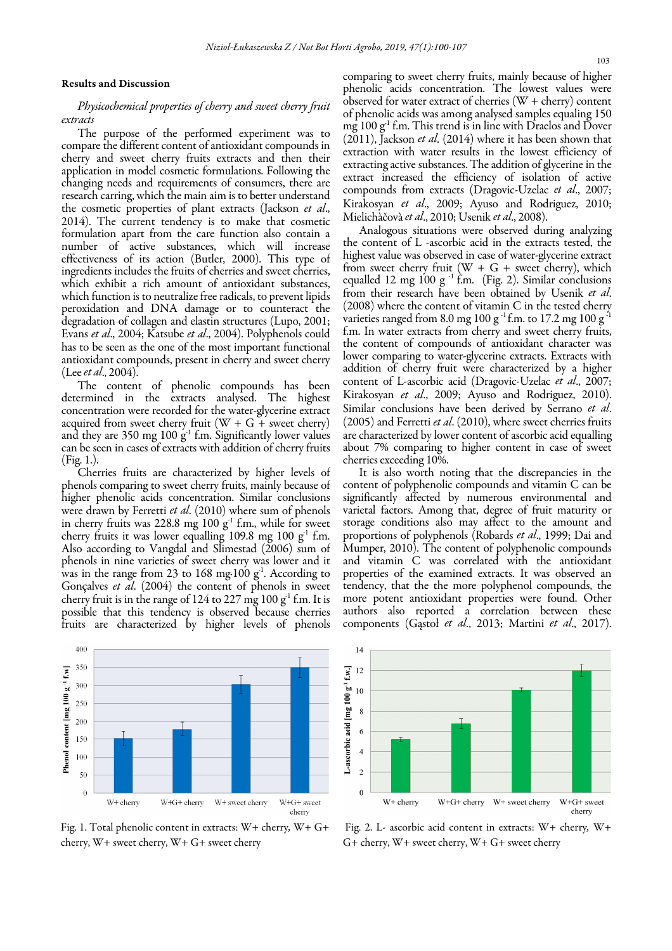### Results and Discussion

# *Physicochemical properties of cherry and sweet cherry fruit extracts*

The purpose of the performed experiment was to compare the different content of antioxidant compounds in cherry and sweet cherry fruits extracts and then their application in model cosmetic formulations. Following the changing needs and requirements of consumers, there are research carring, which the main aim is to better understand the cosmetic properties of plant extracts (Jackson *et al*., 2014). The current tendency is to make that cosmetic formulation apart from the care function also contain a number of active substances, which will increase effectiveness of its action (Butler, 2000). This type of ingredients includes the fruits of cherries and sweet cherries, which exhibit a rich amount of antioxidant substances, which function is to neutralize free radicals, to prevent lipids peroxidation and DNA damage or to counteract the degradation of collagen and elastin structures (Lupo, 2001; Evans *et al*., 2004; Katsube *et al*., 2004). Polyphenols could has to be seen as the one of the most important functional antioxidant compounds, present in cherry and sweet cherry (Lee *et al*., 2004).

The content of phenolic compounds has been determined in the extracts analysed. The highest concentration were recorded for the water-glycerine extract acquired from sweet cherry fruit  $(W + G +$  sweet cherry) and they are 350 mg 100  $g^{-1}$  f.m. Significantly lower values can be seen in cases of extracts with addition of cherry fruits (Fig. 1.).

Cherries fruits are characterized by higher levels of phenols comparing to sweet cherry fruits, mainly because of higher phenolic acids concentration. Similar conclusions were drawn by Ferretti *et al*. (2010) where sum of phenols in cherry fruits was 228.8 mg 100  $g<sup>1</sup>$  f.m., while for sweet cherry fruits it was lower equalling 109.8 mg 100  $g<sup>-1</sup>$  f.m. Also according to Vangdal and Slimestad (2006) sum of phenols in nine varieties of sweet cherry was lower and it was in the range from 23 to 168 mg·100  $g<sup>1</sup>$ . According to Gonçalves *et al*. (2004) the content of phenols in sweet cherry fruit is in the range of  $124$  to  $227$  mg  $100$  g<sup>-1</sup> f.m. It is possible that this tendency is observed because cherries fruits are characterized by higher levels of phenols

comparing to sweet cherry fruits, mainly because of higher phenolic acids concentration. The lowest values were observed for water extract of cherries (W + cherry) content of phenolic acids was among analysed samples equaling 150 mg  $100 g<sup>-1</sup>$  f.m. This trend is in line with Draelos and Dover (2011), Jackson *et al*. (2014) where it has been shown that extraction with water results in the lowest efficiency of extracting active substances. The addition of glycerine in the extract increased the efficiency of isolation of active compounds from extracts (Dragovic-Uzelac *et al*., 2007; Kirakosyan *et al*., 2009; Ayuso and Rodriguez, 2010; Mielichàčovà *et al*., 2010; Usenik *et al*., 2008).

Analogous situations were observed during analyzing the content of L -ascorbic acid in the extracts tested, the highest value was observed in case of water-glycerine extract from sweet cherry fruit (W + G + sweet cherry), which equalled 12 mg 100 g  $^{-1}$  f.m. (Fig. 2). Similar conclusions from their research have been obtained by Usenik *et al*. (2008) where the content of vitamin C in the tested cherry varieties ranged from 8.0 mg 100 g<sup>-1</sup> f.m. to 17.2 mg 100 g f.m. In water extracts from cherry and sweet cherry fruits, the content of compounds of antioxidant character was lower comparing to water-glycerine extracts. Extracts with addition of cherry fruit were characterized by a higher content of L-ascorbic acid (Dragovic-Uzelac *et al*., 2007; Kirakosyan *et al*., 2009; Ayuso and Rodriguez, 2010). Similar conclusions have been derived by Serrano *et al*. (2005) and Ferretti *et al*. (2010), where sweet cherries fruits are characterized by lower content of ascorbic acid equalling about 7% comparing to higher content in case of sweet cherries exceeding 10%.

It is also worth noting that the discrepancies in the content of polyphenolic compounds and vitamin C can be significantly affected by numerous environmental and varietal factors. Among that, degree of fruit maturity or storage conditions also may affect to the amount and proportions of polyphenols (Robards *et al*., 1999; Dai and Mumper, 2010). The content of polyphenolic compounds and vitamin C was correlated with the antioxidant properties of the examined extracts. It was observed an tendency, that the the more polyphenol compounds, the more potent antioxidant properties were found. Other authors also reported a correlation between these components (Gąstoł *et al*., 2013; Martini *et al*., 2017).



Fig. 1. Total phenolic content in extracts: W+ cherry*,* W+ G+ cherry, W+ sweet cherry, W+ G+ sweet cherry



 Fig. 2. L- ascorbic acid content in extracts: W+ cherry*,* W+ G+ cherry, W+ sweet cherry, W+ G+ sweet cherry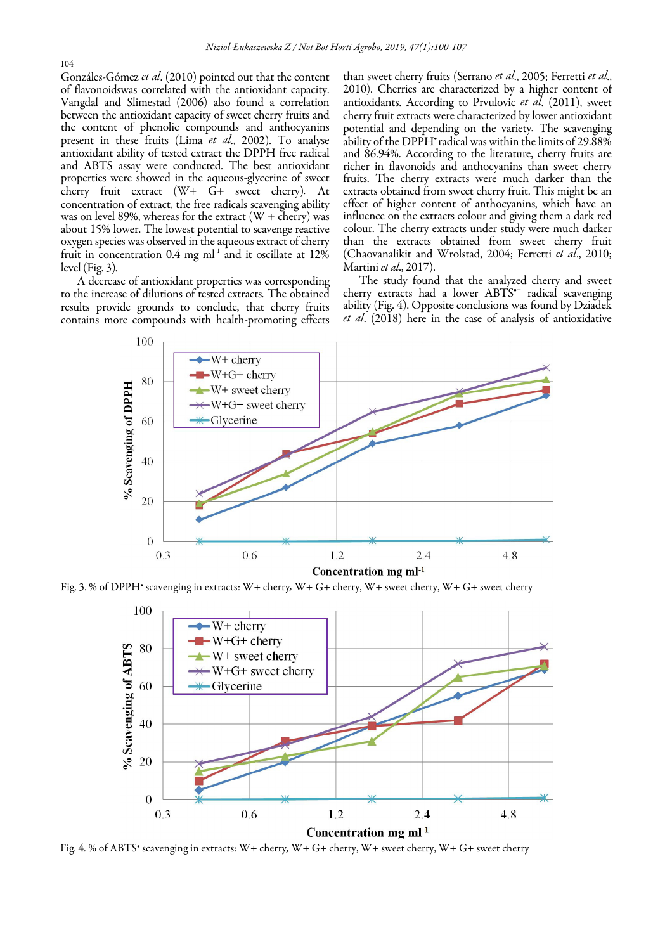104

Gonzáles-Gómez *et al*. (2010) pointed out that the content of flavonoidswas correlated with the antioxidant capacity. Vangdal and Slimestad (2006) also found a correlation between the antioxidant capacity of sweet cherry fruits and the content of phenolic compounds and anthocyanins present in these fruits (Lima *et al*., 2002). To analyse antioxidant ability of tested extract the DPPH free radical and ABTS assay were conducted. The best antioxidant properties were showed in the aqueous-glycerine of sweet cherry fruit extract (W+ G+ sweet cherry)*.* At concentration of extract, the free radicals scavenging ability was on level 89%, whereas for the extract  $(W +$  cherry) was about 15% lower. The lowest potential to scavenge reactive oxygen species was observed in the aqueous extract of cherry fruit in concentration 0.4 mg ml*-*<sup>1</sup> and it oscillate at 12% level (Fig. 3)*.* 

A decrease of antioxidant properties was corresponding to the increase of dilutions of tested extracts*.* The obtained results provide grounds to conclude, that cherry fruits contains more compounds with health-promoting effects than sweet cherry fruits (Serrano *et al*., 2005; Ferretti *et al*., 2010). Cherries are characterized by a higher content of antioxidants. According to Prvulovic *et al*. (2011), sweet cherry fruit extracts were characterized by lower antioxidant potential and depending on the variety*.* The scavenging ability of the DPPH• radical was within the limits of 29.88% and 86.94%. According to the literature, cherry fruits are richer in flavonoids and anthocyanins than sweet cherry fruits. The cherry extracts were much darker than the extracts obtained from sweet cherry fruit. This might be an effect of higher content of anthocyanins, which have an influence on the extracts colour and giving them a dark red colour. The cherry extracts under study were much darker than the extracts obtained from sweet cherry fruit (Chaovanalikit and Wrolstad, 2004; Ferretti *et al*., 2010; Martini *et al*., 2017).

The study found that the analyzed cherry and sweet cherry extracts had a lower ABTS•+ radical scavenging ability (Fig. 4). Opposite conclusions was found by Dziadek *et al*. (2018) here in the case of analysis of antioxidative



Fig. 3. % of DPPH• scavenging in extracts: W+ cherry*,* W+ G+ cherry, W+ sweet cherry, W+ G+ sweet cherry



Fig. 4. % of ABTS• scavenging in extracts: W+ cherry*,* W+ G+ cherry, W+ sweet cherry, W+ G+ sweet cherry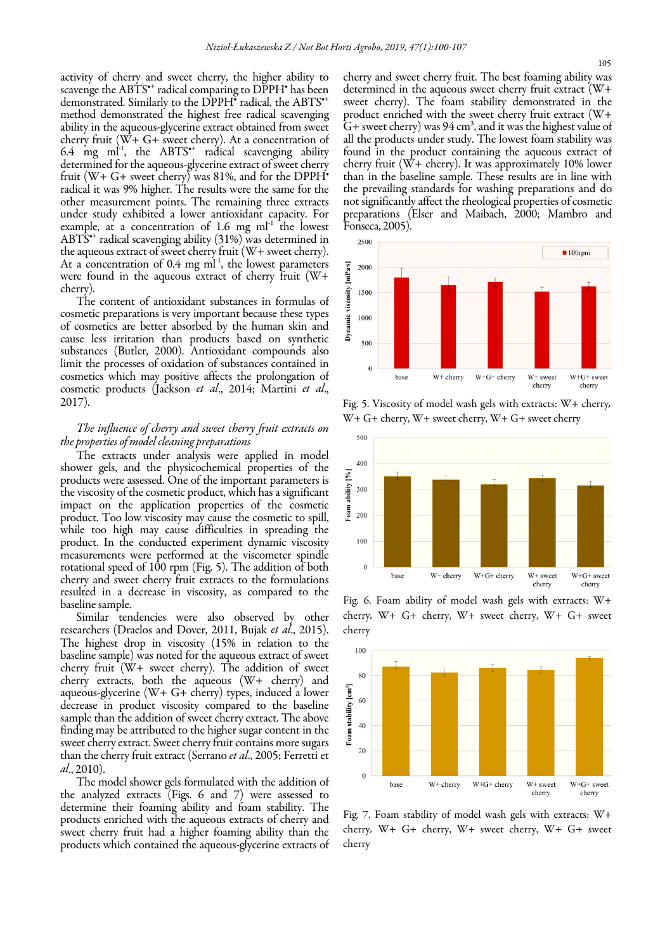activity of cherry and sweet cherry, the higher ability to scavenge the ABTS<sup>\*+</sup> radical comparing to DPPH<sup>\*</sup> has been demonstrated. Similarly to the DPPH<sup>\*</sup> radical, the ABTS<sup>\*</sup> method demonstrated the highest free radical scavenging ability in the aqueous-glycerine extract obtained from sweet cherry fruit (W+ G+ sweet cherry). At a concentration of 6.4 mg  $ml^{-1}$ , the ABTS<sup>\*</sup> radical scavenging ability determined for the aqueous-glycerine extract of sweet cherry fruit ( $W+G+$  sweet cherry) was 81%, and for the DPPH $^{\bullet}$ radical it was 9% higher. The results were the same for the other measurement points. The remaining three extracts under study exhibited a lower antioxidant capacity. For example, at a concentration of  $1.6$  mg ml<sup>-1</sup> the lowest ABTS<sup>\*+</sup> radical scavenging ability (31%) was determined in the aqueous extract of sweet cherry fruit (W+ sweet cherry). At a concentration of  $0.4$  mg m $1$ <sup>-1</sup>, the lowest parameters were found in the aqueous extract of cherry fruit (W+ cherry).

The content of antioxidant substances in formulas of cosmetic preparations is very important because these types of cosmetics are better absorbed by the human skin and cause less irritation than products based on synthetic substances (Butler, 2000). Antioxidant compounds also limit the processes of oxidation of substances contained in cosmetics which may positive affects the prolongation of cosmetic products (Jackson *et al*., 2014; Martini *et al*., 2017).

## *The influence of cherry and sweet cherry fruit extracts on the properties of model cleaning preparations*

The extracts under analysis were applied in model shower gels, and the physicochemical properties of the products were assessed. One of the important parameters is the viscosity of the cosmetic product, which has a significant impact on the application properties of the cosmetic product. Too low viscosity may cause the cosmetic to spill, while too high may cause difficulties in spreading the product. In the conducted experiment dynamic viscosity measurements were performed at the viscometer spindle rotational speed of 100 rpm (Fig. 5). The addition of both cherry and sweet cherry fruit extracts to the formulations resulted in a decrease in viscosity, as compared to the baseline sample.

Similar tendencies were also observed by other researchers (Draelos and Dover, 2011, Bujak *et al*., 2015). The highest drop in viscosity (15% in relation to the baseline sample) was noted for the aqueous extract of sweet cherry fruit (W+ sweet cherry). The addition of sweet cherry extracts, both the aqueous (W+ cherry) and aqueous-glycerine (W+ G+ cherry) types, induced a lower decrease in product viscosity compared to the baseline sample than the addition of sweet cherry extract. The above finding may be attributed to the higher sugar content in the sweet cherry extract. Sweet cherry fruit contains more sugars than the cherry fruit extract (Serrano *et al*., 2005; Ferretti et *al*., 2010).

The model shower gels formulated with the addition of the analyzed extracts (Figs. 6 and 7) were assessed to determine their foaming ability and foam stability. The products enriched with the aqueous extracts of cherry and sweet cherry fruit had a higher foaming ability than the products which contained the aqueous-glycerine extracts of cherry and sweet cherry fruit. The best foaming ability was determined in the aqueous sweet cherry fruit extract (W+ sweet cherry). The foam stability demonstrated in the product enriched with the sweet cherry fruit extract (W+  $G+$  sweet cherry) was 94 cm<sup>3</sup>, and it was the highest value of all the products under study. The lowest foam stability was found in the product containing the aqueous extract of cherry fruit (W+ cherry). It was approximately 10% lower than in the baseline sample. These results are in line with the prevailing standards for washing preparations and do not significantly affect the rheological properties of cosmetic preparations (Elser and Maibach, 2000; Mambro and Fonseca, 2005).



Fig. 5. Viscosity of model wash gels with extracts: W+ cherry*,*  W+ G+ cherry, W+ sweet cherry, W+ G+ sweet cherry



Fig. 6. Foam ability of model wash gels with extracts: W+ cherry*,* W+ G+ cherry, W+ sweet cherry, W+ G+ sweet cherry



Fig. 7. Foam stability of model wash gels with extracts: W+ cherry*,* W+ G+ cherry, W+ sweet cherry, W+ G+ sweet cherry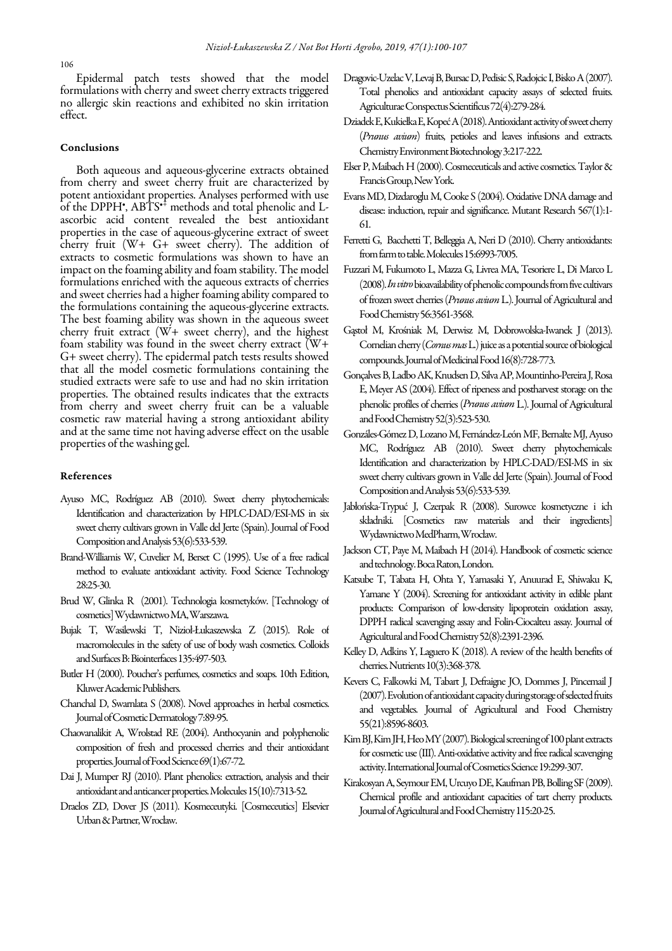Epidermal patch tests showed that the model formulations with cherry and sweet cherry extracts triggered no allergic skin reactions and exhibited no skin irritation effect.

### Conclusions

Both aqueous and aqueous-glycerine extracts obtained from cherry and sweet cherry fruit are characterized by potent antioxidant properties. Analyses performed with use of the DPPH',  $AB\hat{T}S^{*\hat{\dagger}}$  methods and total phenolic and Lascorbic acid content revealed the best antioxidant properties in the case of aqueous-glycerine extract of sweet cherry fruit (W+ G+ sweet cherry). The addition of extracts to cosmetic formulations was shown to have an impact on the foaming ability and foam stability. The model formulations enriched with the aqueous extracts of cherries and sweet cherries had a higher foaming ability compared to the formulations containing the aqueous-glycerine extracts. The best foaming ability was shown in the aqueous sweet cherry fruit extract (W+ sweet cherry), and the highest foam stability was found in the sweet cherry extract (W+ G+ sweet cherry). The epidermal patch tests results showed that all the model cosmetic formulations containing the studied extracts were safe to use and had no skin irritation properties. The obtained results indicates that the extracts from cherry and sweet cherry fruit can be a valuable cosmetic raw material having a strong antioxidant ability and at the same time not having adverse effect on the usable properties of the washing gel.

### References

- Ayuso MC, Rodríguez AB (2010). Sweet cherry phytochemicals: Identification and characterization by HPLC-DAD/ESI-MS in six sweet cherry cultivars grown in Valle del Jerte (Spain). Journal of Food Composition and Analysis 53(6):533-539.
- Brand-Williamis W, Cuvelier M, Berset C (1995). Use of a free radical method to evaluate antioxidant activity. Food Science Technology 28:25-30.
- Brud W, Glinka R (2001). Technologia kosmetyków. [Technology of cosmetics] Wydawnictwo MA, Warszawa.
- Bujak T, Wasilewski T, Nizioł-Łukaszewska Z (2015). Role of macromolecules in the safety of use of body wash cosmetics. Colloids and Surfaces B: Biointerfaces 135:497-503.
- Butler H (2000). Poucher's perfumes, cosmetics and soaps. 10th Edition, Kluwer Academic Publishers.
- Chanchal D, Swarnlata S (2008). Novel approaches in herbal cosmetics. Journal of Cosmetic Dermatology 7:89-95.
- Chaovanalikit A, Wrolstad RE (2004). Anthocyanin and polyphenolic composition of fresh and processed cherries and their antioxidant properties. Journal of Food Science 69(1):67-72.
- Dai J, Mumper RJ (2010). Plant phenolics: extraction, analysis and their antioxidant and anticancer properties. Molecules 15(10):7313-52.
- Draelos ZD, Dover JS (2011). Kosmeceutyki. [Cosmeceutics] Elsevier Urban & Partner, Wrocław.
- Dragovic-Uzelac V, Levaj B, Bursac D, Pedisic S, Radojcic I, Bisko A (2007). Total phenolics and antioxidant capacity assays of selected fruits. Agriculturae Conspectus Scientificus 72(4):279-284.
- Dziadek E, Kukiełka E, Kopeć A (2018). Antioxidant activity of sweet cherry (*Prunus avium*) fruits, petioles and leaves infusions and extracts. Chemistry Environment Biotechnology 3:217-222.
- Elser P, Maibach H (2000). Cosmeceuticals and active cosmetics.Taylor & Francis Group, New York.
- Evans MD, Dizdaroglu M, Cooke S (2004). Oxidative DNA damage and disease: induction, repair and significance. Mutant Research 567(1):1- 61.
- Ferretti G, Bacchetti T, Belleggia A, Neri D (2010). Cherry antioxidants: from farm to table. Molecules 15:6993-7005.
- Fuzzari M, Fukumoto L, Mazza G, Livrea MA, Tesoriere L, Di Marco L (2008). *In vitro*bioavailability of phenolic compounds from five cultivars of frozen sweet cherries (*Prunus avium* L.). Journal of Agricultural and Food Chemistry 56:3561-3568.
- Gąstoł M, Krośniak M, Derwisz M, Dobrowolska-Iwanek J (2013). Cornelian cherry (*Cornus mas* L.) juice as a potential source of biological compounds. Journal of Medicinal Food 16(8):728-773.
- Gonçalves B, Ladbo AK, Knudsen D, Silva AP, Mountinho-Pereira J, Rosa E, Meyer AS (2004). Effect of ripeness and postharvest storage on the phenolic profiles of cherries (*Prunus avium* L.). Journal of Agricultural and Food Chemistry 52(3):523-530.
- Gonzáles-Gómez D, Lozano M, Fernández-León MF, Bernalte MJ, Ayuso MC, Rodríguez AB (2010). Sweet cherry phytochemicals: Identification and characterization by HPLC-DAD/ESI-MS in six sweet cherry cultivars grown in Valle del Jerte (Spain). Journal of Food Composition and Analysis 53(6):533-539.
- Jabłońska-Trypuć J, Czerpak R (2008). Surowce kosmetyczne i ich składniki. [Cosmetics raw materials and their ingredients] Wydawnictwo MedPharm, Wrocław.
- Jackson CT, Paye M, Maibach H (2014). Handbook of cosmetic science and technology. Boca Raton, London.
- Katsube T, Tabata H, Ohta Y, Yamasaki Y, Anuurad E, Shiwaku K, Yamane Y (2004). Screening for antioxidant activity in edible plant products: Comparison of low-density lipoprotein oxidation assay, DPPH radical scavenging assay and Folin-Ciocalteu assay. Journal of Agricultural and Food Chemistry 52(8):2391-2396.
- Kelley D, Adkins Y, Laguero K (2018). A review of the health benefits of cherries. Nutrients 10(3):368-378.
- Kevers C, Falkowki M, Tabart J, Defraigne JO, Dommes J, Pincemail J (2007). Evolution of antioxidant capacity during storage of selected fruits and vegetables. Journal of Agricultural and Food Chemistry 55(21):8596-8603.
- Kim BJ, Kim JH, Heo MY (2007). Biological screening of 100 plant extracts for cosmetic use  $(III)$ . Anti-oxidative activity and free radical scavenging activity. International Journal of Cosmetics Science 19:299-307.
- Kirakosyan A, Seymour EM, Urcuyo DE, Kaufman PB, Bolling SF (2009). Chemical profile and antioxidant capacities of tart cherry products. Journal of Agricultural and Food Chemistry 115:20-25.